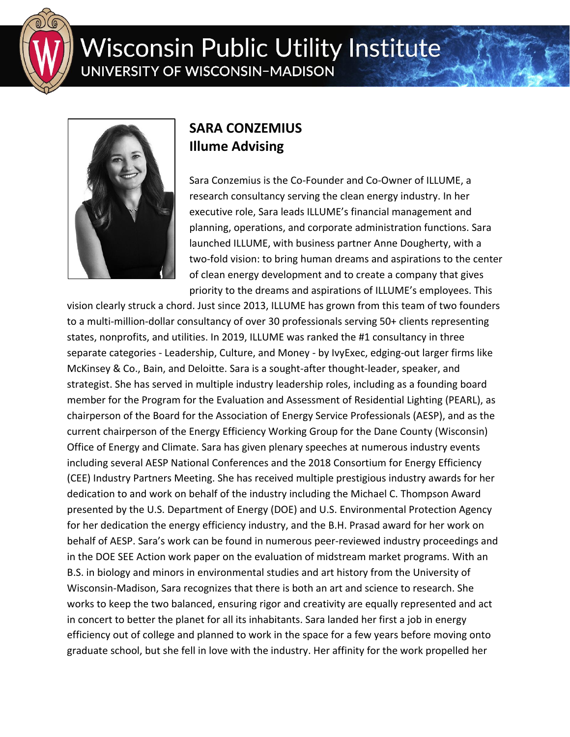

## **Wisconsin Public Utility Institute** UNIVERSITY OF WISCONSIN-MADISON



## **SARA CONZEMIUS Illume Advising**

Sara Conzemius is the Co-Founder and Co-Owner of ILLUME, a research consultancy serving the clean energy industry. In her executive role, Sara leads ILLUME's financial management and planning, operations, and corporate administration functions. Sara launched ILLUME, with business partner Anne Dougherty, with a two-fold vision: to bring human dreams and aspirations to the center of clean energy development and to create a company that gives priority to the dreams and aspirations of ILLUME's employees. This

vision clearly struck a chord. Just since 2013, ILLUME has grown from this team of two founders to a multi-million-dollar consultancy of over 30 professionals serving 50+ clients representing states, nonprofits, and utilities. In 2019, ILLUME was ranked the #1 consultancy in three separate categories - Leadership, Culture, and Money - by IvyExec, edging-out larger firms like McKinsey & Co., Bain, and Deloitte. Sara is a sought-after thought-leader, speaker, and strategist. She has served in multiple industry leadership roles, including as a founding board member for the Program for the Evaluation and Assessment of Residential Lighting (PEARL), as chairperson of the Board for the Association of Energy Service Professionals (AESP), and as the current chairperson of the Energy Efficiency Working Group for the Dane County (Wisconsin) Office of Energy and Climate. Sara has given plenary speeches at numerous industry events including several AESP National Conferences and the 2018 Consortium for Energy Efficiency (CEE) Industry Partners Meeting. She has received multiple prestigious industry awards for her dedication to and work on behalf of the industry including the Michael C. Thompson Award presented by the U.S. Department of Energy (DOE) and U.S. Environmental Protection Agency for her dedication the energy efficiency industry, and the B.H. Prasad award for her work on behalf of AESP. Sara's work can be found in numerous peer-reviewed industry proceedings and in the DOE SEE Action work paper on the evaluation of midstream market programs. With an B.S. in biology and minors in environmental studies and art history from the University of Wisconsin-Madison, Sara recognizes that there is both an art and science to research. She works to keep the two balanced, ensuring rigor and creativity are equally represented and act in concert to better the planet for all its inhabitants. Sara landed her first a job in energy efficiency out of college and planned to work in the space for a few years before moving onto graduate school, but she fell in love with the industry. Her affinity for the work propelled her